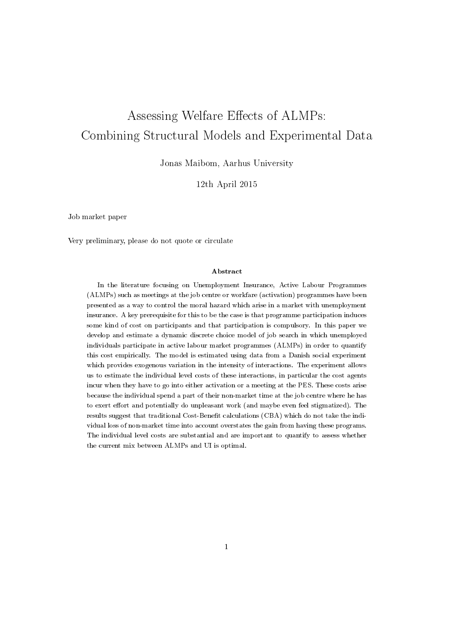# Assessing Welfare Effects of ALMPs: Combining Structural Models and Experimental Data

Jonas Maibom, Aarhus University

12th April 2015

Job market paper

Very preliminary, please do not quote or circulate

### Abstract

In the literature focusing on Unemployment Insurance, Active Labour Programmes (ALMPs) such as meetings at the job centre or workfare (activation) programmes have been presented as a way to control the moral hazard which arise in a market with unemployment insurance. A key prerequisite for this to be the case is that programme participation induces some kind of cost on participants and that participation is compulsory. In this paper we develop and estimate a dynamic discrete choice model of job search in which unemployed individuals participate in active labour market programmes (ALMPs) in order to quantify this cost empirically. The model is estimated using data from a Danish social experiment which provides exogenous variation in the intensity of interactions. The experiment allows us to estimate the individual level costs of these interactions, in particular the cost agents incur when they have to go into either activation or a meeting at the PES. These costs arise because the individual spend a part of their non-market time at the job centre where he has to exert effort and potentially do unpleasant work (and maybe even feel stigmatized). The results suggest that traditional Cost-Benefit calculations (CBA) which do not take the individual loss of non-market time into account overstates the gain from having these programs. The individual level costs are substantial and are important to quantify to assess whether the current mix between ALMPs and UI is optimal.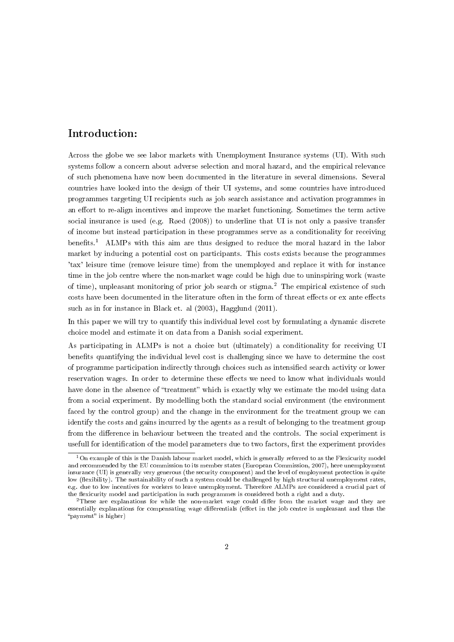# Introduction:

Across the globe we see labor markets with Unemployment Insurance systems (UI). With such systems follow a concern about adverse selection and moral hazard, and the empirical relevance of such phenomena have now been documented in the literature in several dimensions. Several countries have looked into the design of their UI systems, and some countries have introduced programmes targeting UI recipients such as job search assistance and activation programmes in an effort to re-align incentives and improve the market functioning. Sometimes the term active social insurance is used (e.g. Røed (2008)) to underline that UI is not only a passive transfer of income but instead participation in these programmes serve as a conditionality for receiving benefits.<sup>1</sup> ALMPs with this aim are thus designed to reduce the moral hazard in the labor market by inducing a potential cost on participants. This costs exists because the programmes 'tax' leisure time (remove leisure time) from the unemployed and replace it with for instance time in the job centre where the non-market wage could be high due to uninspiring work (waste of time), unpleasant monitoring of prior job search or stigma.<sup>2</sup> The empirical existence of such costs have been documented in the literature often in the form of threat effects or ex ante effects such as in for instance in Black et. al (2003), Hagglund (2011).

In this paper we will try to quantify this individual level cost by formulating a dynamic discrete choice model and estimate it on data from a Danish social experiment.

As participating in ALMPs is not a choice but (ultimately) a conditionality for receiving UI benefits quantifying the individual level cost is challenging since we have to determine the cost of programme participation indirectly through choices such as intensified search activity or lower reservation wages. In order to determine these effects we need to know what individuals would have done in the absence of "treatment" which is exactly why we estimate the model using data from a social experiment. By modelling both the standard social environment (the environment faced by the control group) and the change in the environment for the treatment group we can identify the costs and gains incurred by the agents as a result of belonging to the treatment group from the difference in behaviour between the treated and the controls. The social experiment is usefull for identification of the model parameters due to two factors, first the experiment provides

<sup>1</sup>On example of this is the Danish labour market model, which is generally referred to as the Flexicurity model and recommended by the EU commission to its member states (European Commission, 2007), here unemployment insurance (UI) is generally very generous (the security component) and the level of employment protection is quite low (flexibility). The sustainability of such a system could be challenged by high structural unemployment rates, e.g. due to low incentives for workers to leave unemployment. Therefore ALMPs are considered a crucial part of the flexicurity model and participation in such programmes is considered both a right and a duty.

 $2$ These are explanations for while the non-market wage could differ from the market wage and they are essentially explanations for compensating wage differentials (effort in the job centre is unpleasant and thus the "payment" is higher)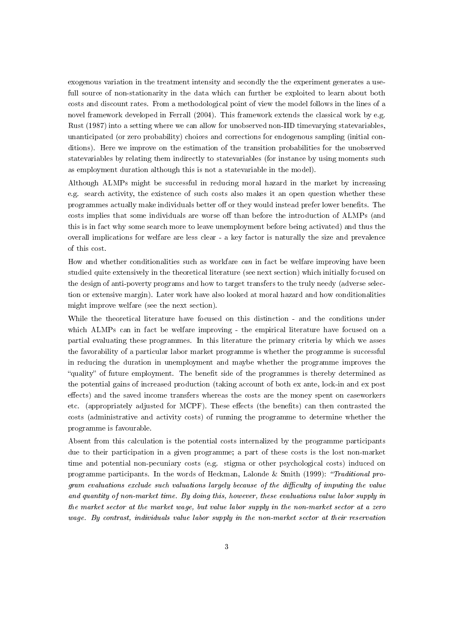exogenous variation in the treatment intensity and secondly the the experiment generates a usefull source of non-stationarity in the data which can further be exploited to learn about both costs and discount rates. From a methodological point of view the model follows in the lines of a novel framework developed in Ferrall (2004). This framework extends the classical work by e.g. Rust (1987) into a setting where we can allow for unobserved non-IID timevarying statevariables, unanticipated (or zero probability) choices and corrections for endogenous sampling (initial conditions). Here we improve on the estimation of the transition probabilities for the unobserved statevariables by relating them indirectly to statevariables (for instance by using moments such as employment duration although this is not a statevariable in the model).

Although ALMPs might be successful in reducing moral hazard in the market by increasing e.g. search activity, the existence of such costs also makes it an open question whether these programmes actually make individuals better off or they would instead prefer lower benefits. The costs implies that some individuals are worse off than before the introduction of ALMPs (and this is in fact why some search more to leave unemployment before being activated) and thus the overall implications for welfare are less clear - a key factor is naturally the size and prevalence of this cost.

How and whether conditionalities such as workfare *can* in fact be welfare improving have been studied quite extensively in the theoretical literature (see next section) which initially focused on the design of anti-poverty programs and how to target transfers to the truly needy (adverse selection or extensive margin). Later work have also looked at moral hazard and how conditionalities might improve welfare (see the next section).

While the theoretical literature have focused on this distinction - and the conditions under which ALMPs can in fact be welfare improving - the empirical literature have focused on a partial evaluating these programmes. In this literature the primary criteria by which we asses the favorability of a particular labor market programme is whether the programme is successful in reducing the duration in unemployment and maybe whether the programme improves the "quality" of future employment. The benefit side of the programmes is thereby determined as the potential gains of increased production (taking account of both ex ante, lock-in and ex post effects) and the saved income transfers whereas the costs are the money spent on caseworkers etc. (appropriately adjusted for MCPF). These effects (the benefits) can then contrasted the costs (administrative and activity costs) of running the programme to determine whether the programme is favourable.

Absent from this calculation is the potential costs internalized by the programme participants due to their participation in a given programme; a part of these costs is the lost non-market time and potential non-pecuniary costs (e.g. stigma or other psychological costs) induced on programme participants. In the words of Heckman, Lalonde & Smith (1999): "Traditional program evaluations exclude such valuations largely because of the difficulty of imputing the value and quantity of non-market time. By doing this, however, these evaluations value labor supply in the market sector at the market wage, but value labor supply in the non-market sector at a zero wage. By contrast, individuals value labor supply in the non-market sector at their reservation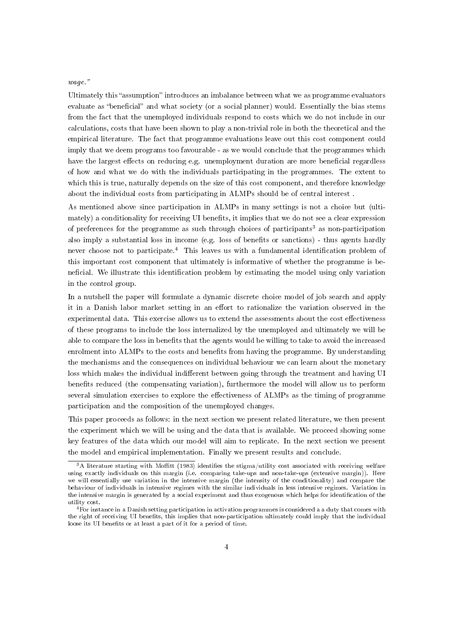# wage.

Ultimately this "assumption" introduces an imbalance between what we as programme evaluators evaluate as "beneficial" and what society (or a social planner) would. Essentially the bias stems from the fact that the unemployed individuals respond to costs which we do not include in our calculations, costs that have been shown to play a non-trivial role in both the theoretical and the empirical literature. The fact that programme evaluations leave out this cost component could imply that we deem programs too favourable - as we would conclude that the programmes which have the largest effects on reducing e.g. unemployment duration are more beneficial regardless of how and what we do with the individuals participating in the programmes. The extent to which this is true, naturally depends on the size of this cost component, and therefore knowledge about the individual costs from participating in ALMPs should be of central interest .

As mentioned above since participation in ALMPs in many settings is not a choice but (ultimately) a conditionality for receiving UI benefits, it implies that we do not see a clear expression of preferences for the programme as such through choices of participants<sup>3</sup> as non-participation also imply a substantial loss in income (e.g. loss of benefits or sanctions) - thus agents hardly never choose not to participate.<sup>4</sup> This leaves us with a fundamental identification problem of this important cost component that ultimately is informative of whether the programme is beneficial. We illustrate this identification problem by estimating the model using only variation in the control group.

In a nutshell the paper will formulate a dynamic discrete choice model of job search and apply it in a Danish labor market setting in an effort to rationalize the variation observed in the experimental data. This exercise allows us to extend the assessments about the cost effectiveness of these programs to include the loss internalized by the unemployed and ultimately we will be able to compare the loss in benefits that the agents would be willing to take to avoid the increased enrolment into ALMPs to the costs and benefits from having the programme. By understanding the mechanisms and the consequences on individual behaviour we can learn about the monetary loss which makes the individual indifferent between going through the treatment and having UI benefits reduced (the compensating variation), furthermore the model will allow us to perform several simulation exercises to explore the effectiveness of ALMPs as the timing of programme participation and the composition of the unemployed changes.

This paper proceeds as follows: in the next section we present related literature, we then present the experiment which we will be using and the data that is available. We proceed showing some key features of the data which our model will aim to replicate. In the next section we present the model and empirical implementation. Finally we present results and conclude.

 $3A$  literature starting with Moffitt (1983) identifies the stigma/utility cost associated with receiving welfare using exactly individuals on this margin (i.e. comparing take-ups and non-take-ups (extensive margin)). Here we will essentially use variation in the intensive margin (the intensity of the conditionality) and compare the behaviour of individuals in intensive regimes with the similar individuals in less intensive regimes. Variation in the intensive margin is generated by a social experiment and thus exogenous which helps for identification of the utility cost.

 $^{4}$  For instance in a Danish setting participation in activation programmes is considered a a duty that comes with the right of receiving UI benefits, this implies that non-participation ultimately could imply that the individual loose its UI benefits or at least a part of it for a period of time.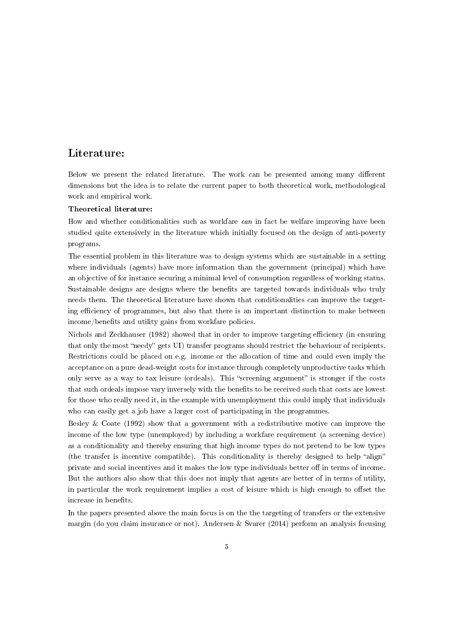# Literature:

Below we present the related literature. The work can be presented among many different dimensions but the idea is to relate the current paper to both theoretical work, methodological work and empirical work.

#### Theoretical literature:

How and whether conditionalities such as workfare can in fact be welfare improving have been studied quite extensively in the literature which initially focused on the design of anti-poverty programs.

The essential problem in this literature was to design systems which are sustainable in a setting where individuals (agents) have more information than the government (principal) which have an objective of for instance securing a minimal level of consumption regardless of working status. Sustainable designs are designs where the benefits are targeted towards individuals who truly needs them. The theoretical literature have shown that conditionalities can improve the targeting efficiency of programmes, but also that there is an important distinction to make between income/benefits and utility gains from workfare policies.

Nichols and Zeckhauser (1982) showed that in order to improve targeting efficiency (in ensuring that only the most "needy" gets UI) transfer programs should restrict the behaviour of recipients. Restrictions could be placed on e.g. income or the allocation of time and could even imply the acceptance on a pure dead-weight costs for instance through completely unproductive tasks which only serve as a way to tax leisure (ordeals). This "screening argument" is stronger if the costs that such ordeals impose vary inversely with the benefits to be received such that costs are lowest for those who really need it, in the example with unemployment this could imply that individuals who can easily get a job have a larger cost of participating in the programmes.

Besley & Coate (1992) show that a government with a redistributive motive can improve the income of the low type (unemployed) by including a workfare requirement (a screening device) as a conditionality and thereby ensuring that high income types do not pretend to be low types (the transfer is incentive compatible). This conditionality is thereby designed to help "align" private and social incentives and it makes the low type individuals better off in terms of income. But the authors also show that this does not imply that agents are better of in terms of utility, in particular the work requirement implies a cost of leisure which is high enough to offset the increase in benefits.

In the papers presented above the main focus is on the the targeting of transfers or the extensive margin (do you claim insurance or not). Andersen & Svarer (2014) perform an analysis focusing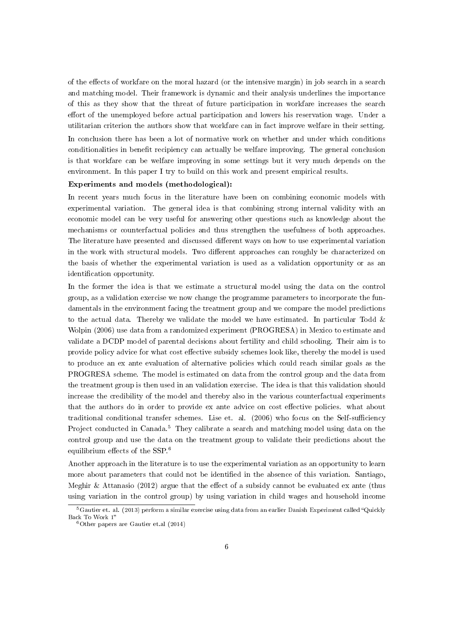of the effects of workfare on the moral hazard (or the intensive margin) in job search in a search and matching model. Their framework is dynamic and their analysis underlines the importance of this as they show that the threat of future participation in workfare increases the search effort of the unemployed before actual participation and lowers his reservation wage. Under a utilitarian criterion the authors show that workfare can in fact improve welfare in their setting. In conclusion there has been a lot of normative work on whether and under which conditions conditionalities in benefit recipiency can actually be welfare improving. The general conclusion is that workfare can be welfare improving in some settings but it very much depends on the environment. In this paper I try to build on this work and present empirical results.

## Experiments and models (methodological):

In recent years much focus in the literature have been on combining economic models with experimental variation. The general idea is that combining strong internal validity with an economic model can be very useful for answering other questions such as knowledge about the mechanisms or counterfactual policies and thus strengthen the usefulness of both approaches. The literature have presented and discussed different ways on how to use experimental variation in the work with structural models. Two different approaches can roughly be characterized on the basis of whether the experimental variation is used as a validation opportunity or as an identification opportunity.

In the former the idea is that we estimate a structural model using the data on the control group, as a validation exercise we now change the programme parameters to incorporate the fundamentals in the environment facing the treatment group and we compare the model predictions to the actual data. Thereby we validate the model we have estimated. In particular Todd  $\&$ Wolpin (2006) use data from a randomized experiment (PROGRESA) in Mexico to estimate and validate a DCDP model of parental decisions about fertility and child schooling. Their aim is to provide policy advice for what cost effective subsidy schemes look like, thereby the model is used to produce an ex ante evaluation of alternative policies which could reach similar goals as the PROGRESA scheme. The model is estimated on data from the control group and the data from the treatment group is then used in an validation exercise. The idea is that this validation should increase the credibility of the model and thereby also in the various counterfactual experiments that the authors do in order to provide ex ante advice on cost effective policies. what about traditional conditional transfer schemes. Lise et. al.  $(2006)$  who focus on the Self-sufficiency Project conducted in Canada.<sup>5</sup> They calibrate a search and matching model using data on the control group and use the data on the treatment group to validate their predictions about the equilibrium effects of the SSP.<sup>6</sup>

Another approach in the literature is to use the experimental variation as an opportunity to learn more about parameters that could not be identified in the absence of this variation. Santiago, Meghir  $\&$  Attanasio (2012) argue that the effect of a subsidy cannot be evaluated ex ante (thus using variation in the control group) by using variation in child wages and household income

 $5$ Gautier et. al. (2013) perform a similar exercise using data from an earlier Danish Experiment called "Quickly Back To Work 1

 $6$ Other papers are Gautier et.al  $(2014)$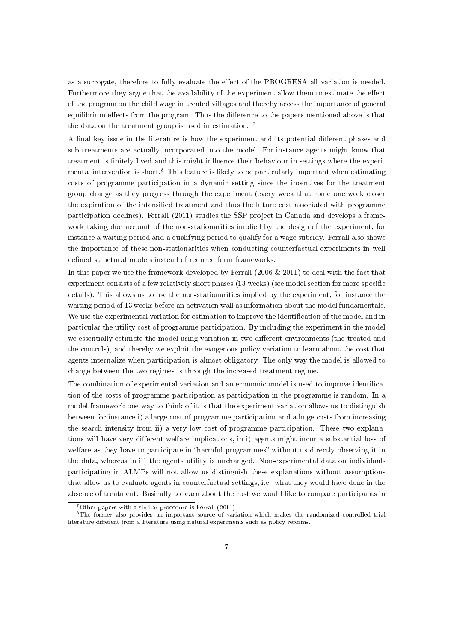as a surrogate, therefore to fully evaluate the effect of the PROGRESA all variation is needed. Furthermore they argue that the availability of the experiment allow them to estimate the effect of the program on the child wage in treated villages and thereby access the importance of general equilibrium effects from the program. Thus the difference to the papers mentioned above is that the data on the treatment group is used in estimation. <sup>7</sup>

A final key issue in the literature is how the experiment and its potential different phases and sub-treatments are actually incorporated into the model. For instance agents might know that treatment is finitely lived and this might influence their behaviour in settings where the experimental intervention is short.<sup>8</sup> This feature is likely to be particularly important when estimating costs of programme participation in a dynamic setting since the incentives for the treatment group change as they progress through the experiment (every week that come one week closer the expiration of the intensified treatment and thus the future cost associated with programme participation declines). Ferrall (2011) studies the SSP project in Canada and develops a framework taking due account of the non-stationarities implied by the design of the experiment, for instance a waiting period and a qualifying period to qualify for a wage subsidy. Ferrall also shows the importance of these non-stationarities when conducting counterfactual experiments in well defined structural models instead of reduced form frameworks.

In this paper we use the framework developed by Ferrall (2006  $& 2011$ ) to deal with the fact that experiment consists of a few relatively short phases (13 weeks) (see model section for more specific details). This allows us to use the non-stationarities implied by the experiment, for instance the waiting period of 13 weeks before an activation wall as information about the model fundamentals. We use the experimental variation for estimation to improve the identification of the model and in particular the utility cost of programme participation. By including the experiment in the model we essentially estimate the model using variation in two different environments (the treated and the controls), and thereby we exploit the exogenous policy variation to learn about the cost that agents internalize when participation is almost obligatory. The only way the model is allowed to change between the two regimes is through the increased treatment regime.

The combination of experimental variation and an economic model is used to improve identication of the costs of programme participation as participation in the programme is random. In a model framework one way to think of it is that the experiment variation allows us to distinguish between for instance i) a large cost of programme participation and a huge costs from increasing the search intensity from ii) a very low cost of programme participation. These two explanations will have very different welfare implications, in i) agents might incur a substantial loss of welfare as they have to participate in "harmful programmes" without us directly observing it in the data, whereas in ii) the agents utility is unchanged. Non-experimental data on individuals participating in ALMPs will not allow us distinguish these explanations without assumptions that allow us to evaluate agents in counterfactual settings, i.e. what they would have done in the absence of treatment. Basically to learn about the cost we would like to compare participants in

 $7$ Other papers with a similar procedure is Ferrall (2011)

<sup>8</sup>The former also provides an important source of variation which makes the randomized controlled trial literature different from a literature using natural experiments such as policy reforms.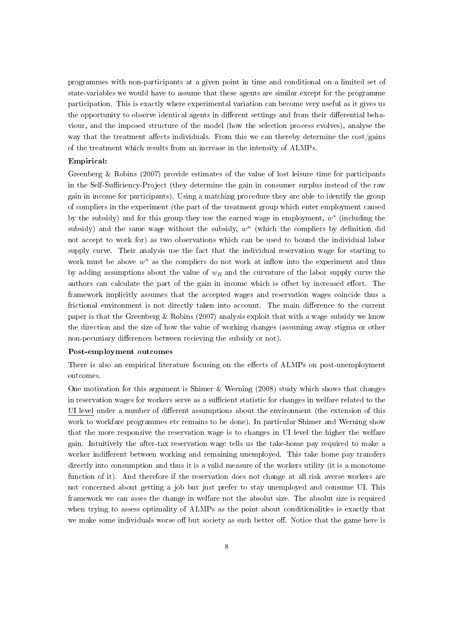programmes with non-participants at a given point in time and conditional on a limited set of state-variables we would have to assume that these agents are similar except for the programme participation. This is exactly where experimental variation can become very useful as it gives us the opportunity to observe identical agents in different settings and from their differential behaviour, and the imposed structure of the model (how the selection process evolves), analyse the way that the treatment affects individuals. From this we can thereby determine the  $cost/gains$ of the treatment which results from an increase in the intensity of ALMPs.

### Empirical:

Greenberg & Robins (2007) provide estimates of the value of lost leisure time for participants in the Self-Sufficiency-Project (they determine the gain in consumer surplus instead of the raw gain in income for participants). Using a matching procedure they are able to identify the group of compliers in the experiment (the part of the treatment group which enter employment caused by the subsidy) and for this group they use the earned wage in employment,  $w^*$  (including the subsidy) and the same wage without the subsidy,  $w<sup>n</sup>$  (which the compliers by definition did not accept to work for) as two observations which can be used to bound the individual labor supply curve. Their analysis use the fact that the individual reservation wage for starting to work must be above  $w^n$  as the compliers do not work at inflow into the experiment and thus by adding assumptions about the value of  $w_R$  and the curvature of the labor supply curve the authors can calculate the part of the gain in income which is offset by increased effort. The framework implicitly assumes that the accepted wages and reservation wages coincide thus a frictional environment is not directly taken into account. The main difference to the current paper is that the Greenberg & Robins (2007) analysis exploit that with a wage subsidy we know the direction and the size of how the value of working changes (assuming away stigma or other non-pecuniary differences between recieving the subsidy or not).

#### Post-employment outcomes

There is also an empirical literature focusing on the effects of ALMPs on post-unemployment outcomes.

One motivation for this argument is Shimer & Werning  $(2008)$  study which shows that changes in reservation wages for workers serve as a sufficient statistic for changes in welfare related to the UI level under a number of different assumptions about the environment (the extension of this work to workfare programmes etc remains to be done). In particular Shimer and Werning show that the more responsive the reservation wage is to changes in UI level the higher the welfare gain. Intuitively the after-tax reservation wage tells us the take-home pay required to make a worker indifferent between working and remaining unemployed. This take home pay transfers directly into consumption and thus it is a valid measure of the workers utility (it is a monotome function of it). And therefore if the reservation does not change at all risk averse workers are not concerned about getting a job but just prefer to stay unemployed and consume UI. This framework we can asses the change in welfare not the absolut size. The absolut size is required when trying to assess optimality of ALMPs as the point about conditionalities is exactly that we make some individuals worse off but society as such better off. Notice that the game here is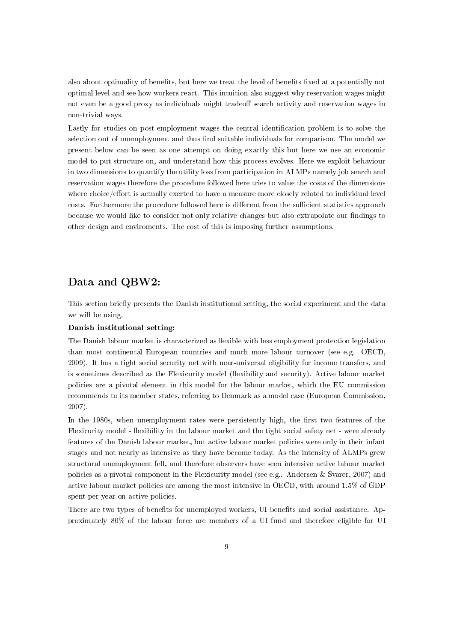also about optimality of benefits, but here we treat the level of benefits fixed at a potentially not optimal level and see how workers react. This intuition also suggest why reservation wages might not even be a good proxy as individuals might tradeoff search activity and reservation wages in non-trivial ways.

Lastly for studies on post-employment wages the central identification problem is to solve the selection out of unemployment and thus find suitable individuals for comparison. The model we present below can be seen as one attempt on doing exactly this but here we use an economic model to put structure on, and understand how this process evolves. Here we exploit behaviour in two dimensions to quantify the utility loss from participation in ALMPs namely job search and reservation wages therefore the procedure followed here tries to value the costs of the dimensions where choice/effort is actually exerted to have a measure more closely related to individual level costs. Furthermore the procedure followed here is different from the sufficient statistics approach because we would like to consider not only relative changes but also extrapolate our findings to other design and enviroments. The cost of this is imposing further assumptions.

# Data and QBW2:

This section briefly presents the Danish institutional setting, the social experiment and the data we will be using.

# Danish institutional setting:

The Danish labour market is characterized as flexible with less employment protection legislation than most continental European countries and much more labour turnover (see e.g. OECD, 2009). It has a tight social security net with near-universal eligibility for income transfers, and is sometimes described as the Flexicurity model (flexibility and security). Active labour market policies are a pivotal element in this model for the labour market, which the EU commission recommends to its member states, referring to Denmark as a model case (European Commission, 2007).

In the 1980s, when unemployment rates were persistently high, the first two features of the Flexicurity model - flexibility in the labour market and the tight social safety net - were already features of the Danish labour market, but active labour market policies were only in their infant stages and not nearly as intensive as they have become today. As the intensity of ALMPs grew structural unemployment fell, and therefore observers have seen intensive active labour market policies as a pivotal component in the Flexicurity model (see e.g.. Andersen & Svarer, 2007) and active labour market policies are among the most intensive in OECD, with around 1.5% of GDP spent per year on active policies.

There are two types of benefits for unemployed workers, UI benefits and social assistance. Approximately 80% of the labour force are members of a UI fund and therefore eligible for UI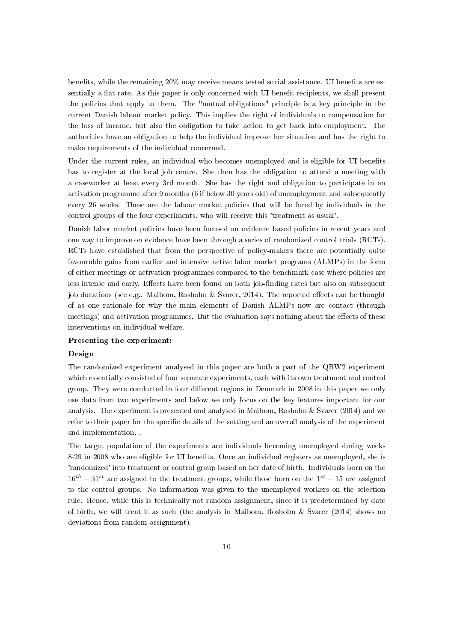benefits, while the remaining  $20\%$  may receive means tested social assistance. UI benefits are essentially a flat rate. As this paper is only concerned with UI benefit recipients, we shall present the policies that apply to them. The "mutual obligations" principle is a key principle in the current Danish labour market policy. This implies the right of individuals to compensation for the loss of income, but also the obligation to take action to get back into employment. The authorities have an obligation to help the individual improve her situation and has the right to make requirements of the individual concerned.

Under the current rules, an individual who becomes unemployed and is eligible for UI benefits has to register at the local job centre. She then has the obligation to attend a meeting with a caseworker at least every 3rd month. She has the right and obligation to participate in an activation programme after 9 months (6 if below 30 years old) of unemployment and subsequently every 26 weeks. These are the labour market policies that will be faced by individuals in the control groups of the four experiments, who will receive this 'treatment as usual'.

Danish labor market policies have been focused on evidence based policies in recent years and one way to improve on evidence have been through a series of randomized control trials (RCTs). RCTs have established that from the perspective of policy-makers there are potentially quite favourable gains from earlier and intensive active labor market programs (ALMPs) in the form of either meetings or activation programmes compared to the benchmark case where policies are less intense and early. Effects have been found on both job-finding rates but also on subsequent job durations (see e.g.. Maibom, Rosholm & Svarer, 2014). The reported effects can be thought of as one rationale for why the main elements of Danish ALMPs now are contact (through meetings) and activation programmes. But the evaluation says nothing about the effects of these interventions on individual welfare.

#### Presenting the experiment:

#### Design

The randomized experiment analysed in this paper are both a part of the QBW2 experiment which essentially consisted of four separate experiments, each with its own treatment and control group. They were conducted in four different regions in Denmark in 2008 in this paper we only use data from two experiments and below we only focus on the key features important for our analysis. The experiment is presented and analysed in Maibom, Rosholm & Svarer (2014) and we refer to their paper for the specific details of the setting and an overall analysis of the experiment and implementation, .

The target population of the experiments are individuals becoming unemployed during weeks 8-29 in 2008 who are eligible for UI benefits. Once an individual registers as unemployed, she is 'randomized' into treatment or control group based on her date of birth. Individuals born on the  $16^{th} - 31^{st}$  are assigned to the treatment groups, while those born on the  $1^{st} - 15$  are assigned to the control groups. No information was given to the unemployed workers on the selection rule. Hence, while this is technically not random assignment, since it is predetermined by date of birth, we will treat it as such (the analysis in Maibom, Rosholm & Svarer (2014) shows no deviations from random assignment).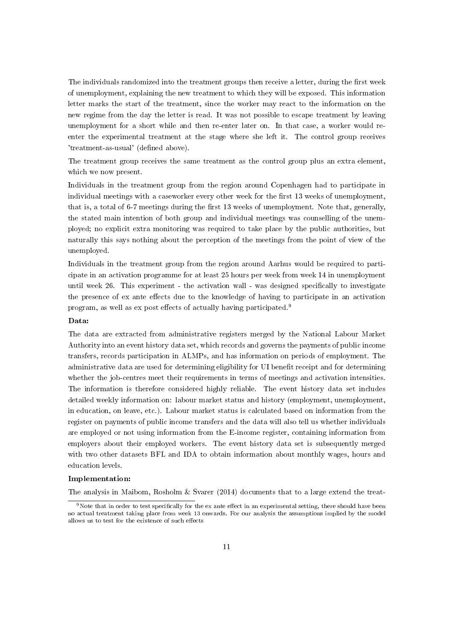The individuals randomized into the treatment groups then receive a letter, during the first week of unemployment, explaining the new treatment to which they will be exposed. This information letter marks the start of the treatment, since the worker may react to the information on the new regime from the day the letter is read. It was not possible to escape treatment by leaving unemployment for a short while and then re-enter later on. In that case, a worker would reenter the experimental treatment at the stage where she left it. The control group receives 'treatment-as-usual' (defined above).

The treatment group receives the same treatment as the control group plus an extra element, which we now present.

Individuals in the treatment group from the region around Copenhagen had to participate in individual meetings with a caseworker every other week for the first 13 weeks of unemployment, that is, a total of  $6-7$  meetings during the first 13 weeks of unemployment. Note that, generally, the stated main intention of both group and individual meetings was counselling of the unemployed; no explicit extra monitoring was required to take place by the public authorities, but naturally this says nothing about the perception of the meetings from the point of view of the unemployed.

Individuals in the treatment group from the region around Aarhus would be required to participate in an activation programme for at least 25 hours per week from week 14 in unemployment until week 26. This experiment - the activation wall - was designed specically to investigate the presence of ex ante effects due to the knowledge of having to participate in an activation program, as well as ex post effects of actually having participated.<sup>9</sup>

# Data:

The data are extracted from administrative registers merged by the National Labour Market Authority into an event history data set, which records and governs the payments of public income transfers, records participation in ALMPs, and has information on periods of employment. The administrative data are used for determining eligibility for UI benefit receipt and for determining whether the job-centres meet their requirements in terms of meetings and activation intensities. The information is therefore considered highly reliable. The event history data set includes detailed weekly information on: labour market status and history (employment, unemployment, in education, on leave, etc.). Labour market status is calculated based on information from the register on payments of public income transfers and the data will also tell us whether individuals are employed or not using information from the E-income register, containing information from employers about their employed workers. The event history data set is subsequently merged with two other datasets BFL and IDA to obtain information about monthly wages, hours and education levels.

#### Implementation:

The analysis in Maibom, Rosholm & Svarer (2014) documents that to a large extend the treat-

<sup>&</sup>lt;sup>9</sup>Note that in order to test specifically for the ex ante effect in an experimental setting, there should have been no actual treatment taking place from week 13 onwards. For our analysis the assumptions implied by the model allows us to test for the existence of such effects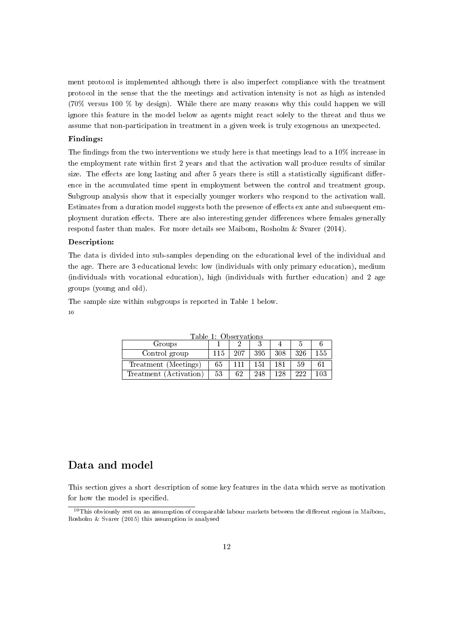ment protocol is implemented although there is also imperfect compliance with the treatment protocol in the sense that the the meetings and activation intensity is not as high as intended (70% versus 100 % by design). While there are many reasons why this could happen we will ignore this feature in the model below as agents might react solely to the threat and thus we assume that non-participation in treatment in a given week is truly exogenous an unexpected.

# Findings:

The findings from the two interventions we study here is that meetings lead to a  $10\%$  increase in the employment rate within first 2 years and that the activation wall produce results of similar size. The effects are long lasting and after 5 years there is still a statistically significant difference in the accumulated time spent in employment between the control and treatment group. Subgroup analysis show that it especially younger workers who respond to the activation wall. Estimates from a duration model suggests both the presence of effects ex ante and subsequent employment duration effects. There are also interesting gender differences where females generally respond faster than males. For more details see Maibom, Rosholm & Svarer (2014).

### Description:

The data is divided into sub-samples depending on the educational level of the individual and the age. There are 3 educational levels: low (individuals with only primary education), medium (individuals with vocational education), high (individuals with further education) and 2 age groups (young and old).

The sample size within subgroups is reported in Table 1 below. 10

| Table E. Observations  |    |     |     |     |     |     |
|------------------------|----|-----|-----|-----|-----|-----|
| Groups                 |    |     |     |     |     |     |
| Control group          |    | 207 | 395 | 308 | 326 | 155 |
| Treatment (Meetings)   | 65 |     | 151 |     | 59  |     |
| Treatment (Activation) | 53 | 62  | 248 | 128 | 222 | 103 |

 $T<sub>1</sub>$   $T<sub>2</sub>$   $T<sub>3</sub>$   $T<sub>4</sub>$   $T<sub>5</sub>$ 

# Data and model

This section gives a short description of some key features in the data which serve as motivation for how the model is specified.

 $10$ This obviously rest on an assumption of comparable labour markets between the different regions in Maibom, Rosholm & Svarer (2015) this assumption is analysed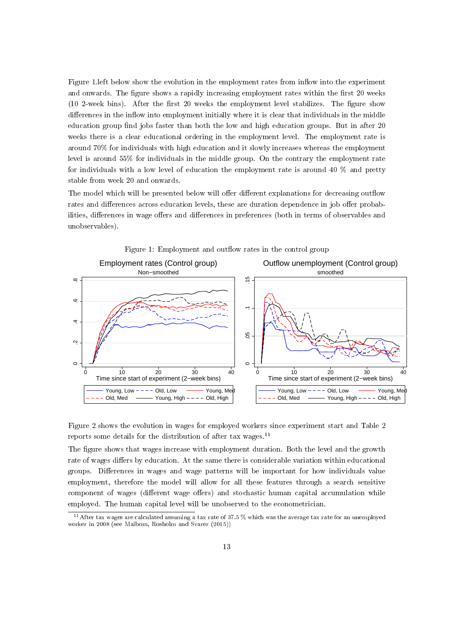Figure 1. left below show the evolution in the employment rates from inflow into the experiment and onwards. The figure shows a rapidly increasing employment rates within the first 20 weeks  $(10 2$ -week bins). After the first 20 weeks the employment level stabilizes. The figure show differences in the inflow into employment initially where it is clear that individuals in the middle education group find jobs faster than both the low and high education groups. But in after 20 weeks there is a clear educational ordering in the employment level. The employment rate is around 70% for individuals with high education and it slowly increases whereas the employment level is around 55% for individuals in the middle group. On the contrary the employment rate for individuals with a low level of education the employment rate is around 40 % and pretty stable from week 20 and onwards.

The model which will be presented below will offer different explanations for decreasing outflow rates and differences across education levels, these are duration dependence in job offer probabilities, differences in wage offers and differences in preferences (both in terms of observables and unobservables).



Figure 2 shows the evolution in wages for employed workers since experiment start and Table 2 reports some details for the distribution of after tax wages. $^{11}$ 

The figure shows that wages increase with employment duration. Both the level and the growth rate of wages differs by education. At the same there is considerable variation within educational groups. Differences in wages and wage patterns will be important for how individuals value employment, therefore the model will allow for all these features through a search sensitive component of wages (different wage offers) and stochastic human capital accumulation while employed. The human capital level will be unobserved to the econometrician.

 $\frac{11}{11}$  After tax wages are calculated assuming a tax rate of 37.5 % which was the average tax rate for an unemployed worker in 2008 (see Maibom, Rosholm and Svarer (2015))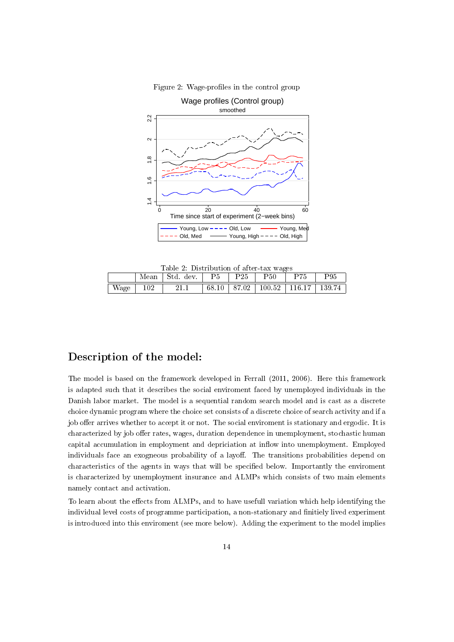

Figure 2: Wage-profiles in the control group

Table 2: Distribution of after-tax wages

|      | Mean | Std. dev. | P5    | ${\rm P}25$ | $_{\rm P50}$                     | P75 | ${\rm P}95$ |
|------|------|-----------|-------|-------------|----------------------------------|-----|-------------|
| Wage | 102  |           | 68.10 |             | 87.02   100.52   116.17   139.74 |     |             |

# Description of the model:

The model is based on the framework developed in Ferrall (2011, 2006). Here this framework is adapted such that it describes the social enviroment faced by unemployed individuals in the Danish labor market. The model is a sequential random search model and is cast as a discrete choice dynamic program where the choice set consists of a discrete choice of search activity and if a job offer arrives whether to accept it or not. The social enviroment is stationary and ergodic. It is characterized by job offer rates, wages, duration dependence in unemployment, stochastic human capital accumulation in employment and depriciation at inflow into unemployment. Employed individuals face an exogneous probability of a layoff. The transitions probabilities depend on characteristics of the agents in ways that will be specified below. Importantly the enviroment is characterized by unemployment insurance and ALMPs which consists of two main elements namely contact and activation.

To learn about the effects from ALMPs, and to have usefull variation which help identifying the individual level costs of programme participation, a non-stationary and nitiely lived experiment is introduced into this enviroment (see more below). Adding the experiment to the model implies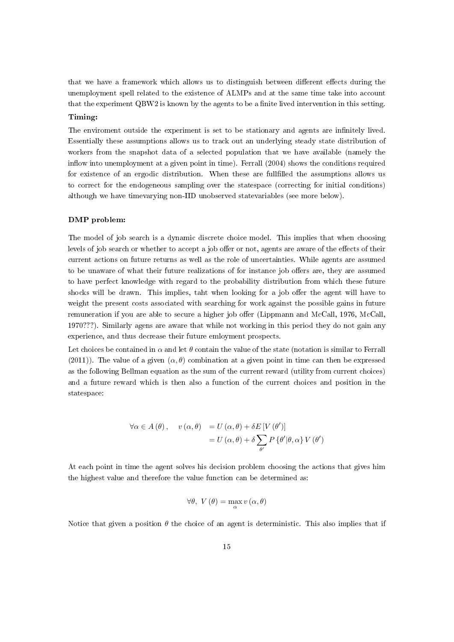that we have a framework which allows us to distinguish between different effects during the unemployment spell related to the existence of ALMPs and at the same time take into account that the experiment  $QBW2$  is known by the agents to be a finite lived intervention in this setting.

# Timing:

The enviroment outside the experiment is set to be stationary and agents are infinitely lived. Essentially these assumptions allows us to track out an underlying steady state distribution of workers from the snapshot data of a selected population that we have available (namely the inflow into unemployment at a given point in time). Ferrall  $(2004)$  shows the conditions required for existence of an ergodic distribution. When these are fullfilled the assumptions allows us to correct for the endogeneous sampling over the statespace (correcting for initial conditions) although we have timevarying non-IID unobserved statevariables (see more below).

#### DMP problem:

The model of job search is a dynamic discrete choice model. This implies that when choosing levels of job search or whether to accept a job offer or not, agents are aware of the effects of their current actions on future returns as well as the role of uncertainties. While agents are assumed to be unaware of what their future realizations of for instance job offers are, they are assumed to have perfect knowledge with regard to the probability distribution from which these future shocks will be drawn. This implies, taht when looking for a job offer the agent will have to weight the present costs associated with searching for work against the possible gains in future remuneration if you are able to secure a higher job offer (Lippmann and McCall, 1976, McCall, 1970???). Similarly agens are aware that while not working in this period they do not gain any experience, and thus decrease their future emloyment prospects.

Let choices be contained in  $\alpha$  and let  $\theta$  contain the value of the state (notation is similar to Ferrall (2011)). The value of a given  $(\alpha, \theta)$  combination at a given point in time can then be expressed as the following Bellman equation as the sum of the current reward (utility from current choices) and a future reward which is then also a function of the current choices and position in the statespace:

$$
\forall \alpha \in A(\theta), \quad v(\alpha, \theta) = U(\alpha, \theta) + \delta E[V(\theta')]
$$
  
=  $U(\alpha, \theta) + \delta \sum_{\theta'} P{\theta'|\theta, \alpha} V(\theta')$ 

At each point in time the agent solves his decision problem choosing the actions that gives him the highest value and therefore the value function can be determined as:

$$
\forall \theta, \ V(\theta) = \max_{\alpha} v(\alpha, \theta)
$$

Notice that given a position  $\theta$  the choice of an agent is deterministic. This also implies that if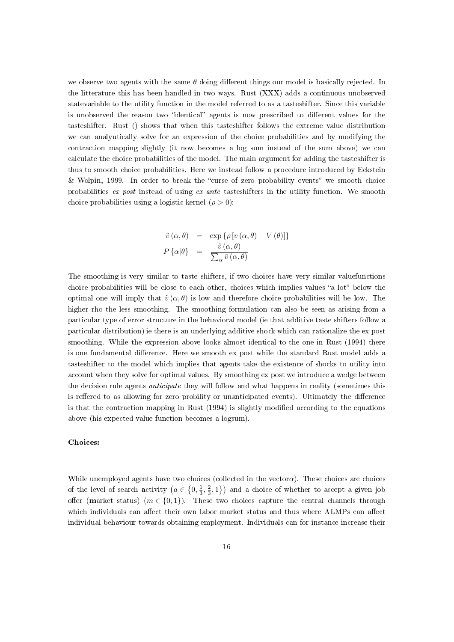we observe two agents with the same  $\theta$  doing different things our model is basically rejected. In the litterature this has been handled in two ways. Rust (XXX) adds a continuous unobserved statevariable to the utility function in the model referred to as a tasteshifter. Since this variable is unobserved the reason two "identical" agents is now prescribed to different values for the tasteshifter. Rust () shows that when this tasteshifter follows the extreme value distribution we can analyutically solve for an expression of the choice probabilities and by modifying the contraction mapping slightly (it now becomes a log sum instead of the sum above) we can calculate the choice probabilities of the model. The main argument for adding the tasteshifter is thus to smooth choice probabilities. Here we instead follow a procedure introduced by Eckstein  $&$  Wolpin, 1999. In order to break the "curse of zero probability events" we smooth choice probabilities ex post instead of using ex ante tasteshifters in the utility function. We smooth choice probabilities using a logistic kernel  $(\rho > 0)$ :

$$
\tilde{v}(\alpha, \theta) = \exp \{ \rho \left[ v(\alpha, \theta) - V(\theta) \right] \}
$$

$$
P \{ \alpha | \theta \} = \frac{\tilde{v}(\alpha, \theta)}{\sum_{\alpha} \tilde{v}(\alpha, \theta)}
$$

The smoothing is very similar to taste shifters, if two choices have very similar valuefunctions choice probabilities will be close to each other, choices which implies values "a lot" below the optimal one will imply that  $\tilde{v}(\alpha, \theta)$  is low and therefore choice probabilities will be low. The higher rho the less smoothing. The smoothing formulation can also be seen as arising from a particular type of error structure in the behavioral model (ie that additive taste shifters follow a particular distribution) ie there is an underlying additive shock which can rationalize the ex post smoothing. While the expression above looks almost identical to the one in Rust (1994) there is one fundamental difference. Here we smooth ex post while the standard Rust model adds a tasteshifter to the model which implies that agents take the existence of shocks to utility into account when they solve for optimal values. By smoothing ex post we introduce a wedge between the decision rule agents anticipate they will follow and what happens in reality (sometimes this is reffered to as allowing for zero probility or unanticipated events). Ultimately the difference is that the contraction mapping in Rust (1994) is slightly modied according to the equations above (his expected value function becomes a logsum).

#### Choices:

While unemployed agents have two choices (collected in the vector $\alpha$ ). These choices are choices of the level of search activity  $(a \in \{0, \frac{1}{3}, \frac{2}{3}, 1\})$  and a choice of whether to accept a given job offer (market status)  $(m \in \{0,1\})$ . These two choices capture the central channels through which individuals can affect their own labor market status and thus where ALMPs can affect individual behaviour towards obtaining employment. Individuals can for instance increase their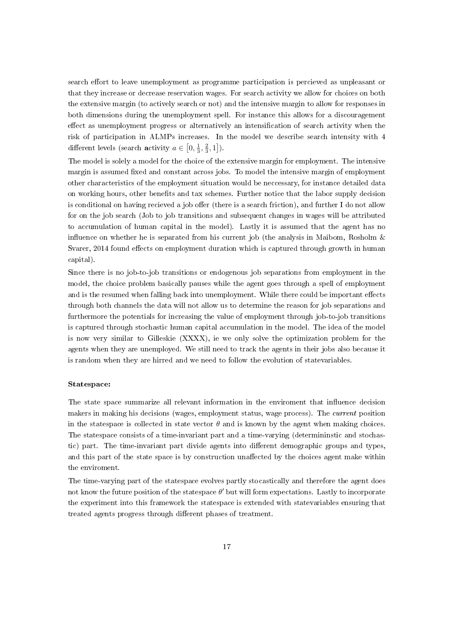search effort to leave unemployment as programme participation is percieved as unpleasant or that they increase or decrease reservation wages. For search activity we allow for choices on both the extensive margin (to actively search or not) and the intensive margin to allow for responses in both dimensions during the unemployment spell. For instance this allows for a discouragement effect as unemployment progress or alternatively an intensification of search activity when the risk of participation in ALMPs increases. In the model we describe search intensity with 4 different levels (search **a**ctivity  $a \in [0, \frac{1}{3}, \frac{2}{3}, 1]$ ).

The model is solely a model for the choice of the extensive margin for employment. The intensive margin is assumed fixed and constant across jobs. To model the intensive margin of employment other characteristics of the employment situation would be neccessary, for instance detailed data on working hours, other benefits and tax schemes. Further notice that the labor supply decision is conditional on having recieved a job offer (there is a search friction), and further I do not allow for on the job search (Job to job transitions and subsequent changes in wages will be attributed to accumulation of human capital in the model). Lastly it is assumed that the agent has no influence on whether he is separated from his current job (the analysis in Maibom, Rosholm  $\&$ Svarer, 2014 found effects on employment duration which is captured through growth in human capital).

Since there is no job-to-job transitions or endogenous job separations from employment in the model, the choice problem basically pauses while the agent goes through a spell of employment and is the resumed when falling back into unemployment. While there could be important effects through both channels the data will not allow us to determine the reason for job separations and furthermore the potentials for increasing the value of employment through job-to-job transitions is captured through stochastic human capital accumulation in the model. The idea of the model is now very similar to Gilleskie (XXXX), ie we only solve the optimization problem for the agents when they are unemployed. We still need to track the agents in their jobs also because it is random when they are hirred and we need to follow the evolution of statevariables.

### Statespace:

The state space summarize all relevant information in the enviroment that influence decision makers in making his decisions (wages, employment status, wage process). The current position in the statespace is collected in state vector  $\theta$  and is known by the agent when making choices. The statespace consists of a time-invariant part and a time-varying (determininstic and stochastic) part. The time-invariant part divide agents into different demographic groups and types, and this part of the state space is by construction unaffected by the choices agent make within the enviroment.

The time-varying part of the statespace evolves partly stocastically and therefore the agent does not know the future position of the statespace  $\theta'$  but will form expectations. Lastly to incorporate the experiment into this framework the statespace is extended with statevariables ensuring that treated agents progress through different phases of treatment.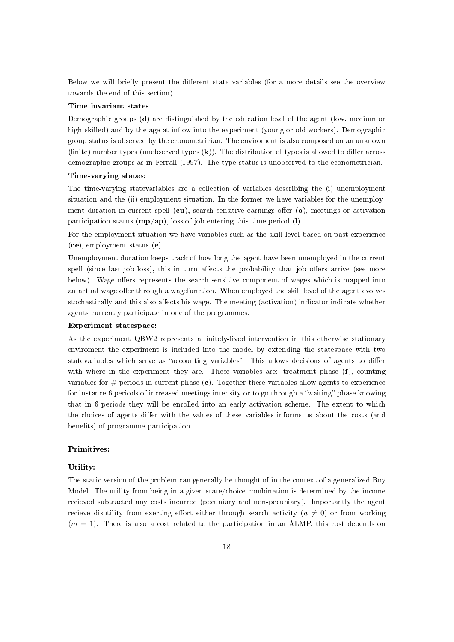Below we will briefly present the different state variables (for a more details see the overview towards the end of this section).

# Time invariant states

Demographic groups (d) are distinguished by the education level of the agent (low, medium or high skilled) and by the age at inflow into the experiment (young or old workers). Demographic group status is observed by the econometrician. The enviroment is also composed on an unknown (finite) number types (unobserved types  $(k)$ ). The distribution of types is allowed to differ across demographic groups as in Ferrall (1997). The type status is unobserved to the econometrician.

# Time-varying states:

The time-varying statevariables are a collection of variables describing the (i) unemployment situation and the (ii) employment situation. In the former we have variables for the unemployment duration in current spell  $(cu)$ , search sensitive earnings offer  $(o)$ , meetings or activation participation status  $(\mathbf{mp}/\mathbf{ap})$ , loss of job entering this time period (1).

For the employment situation we have variables such as the skill level based on past experience (ce), employment status (e).

Unemployment duration keeps track of how long the agent have been unemployed in the current spell (since last job loss), this in turn affects the probability that job offers arrive (see more below). Wage offers represents the search sensitive component of wages which is mapped into an actual wage offer through a wagefunction. When employed the skill level of the agent evolves stochastically and this also affects his wage. The meeting (activation) indicator indicate whether agents currently participate in one of the programmes.

### Experiment statespace:

As the experiment QBW2 represents a finitely-lived intervention in this otherwise stationary enviroment the experiment is included into the model by extending the statespace with two statevariables which serve as "accounting variables". This allows decisions of agents to differ with where in the experiment they are. These variables are: treatment phase  $(f)$ , counting variables for  $\#$  periods in current phase (c). Together these variables allow agents to experience for instance 6 periods of increased meetings intensity or to go through a "waiting" phase knowing that in 6 periods they will be enrolled into an early activation scheme. The extent to which the choices of agents differ with the values of these variables informs us about the costs (and benefits) of programme participation.

# Primitives:

#### Utility:

The static version of the problem can generally be thought of in the context of a generalized Roy Model. The utility from being in a given state/choice combination is determined by the income recieved subtracted any costs incurred (pecuniary and non-pecuniary). Importantly the agent recieve disutility from exerting effort either through search activity ( $a \neq 0$ ) or from working  $(m = 1)$ . There is also a cost related to the participation in an ALMP, this cost depends on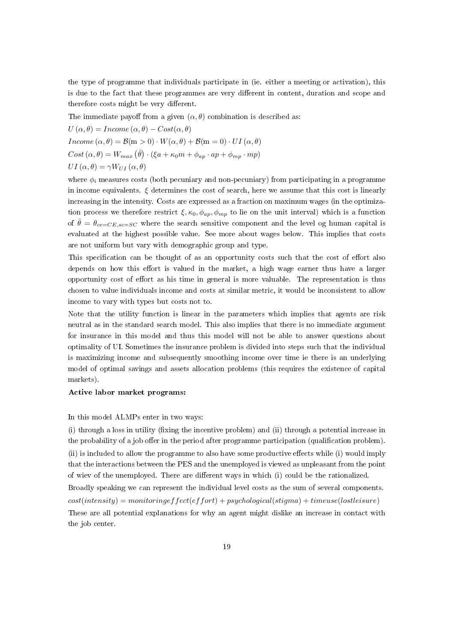the type of programme that individuals participate in (ie. either a meeting or activation), this is due to the fact that these programmes are very different in content, duration and scope and therefore costs might be very different.

The immediate payoff from a given  $(\alpha, \theta)$  combination is described as:

$$
U(\alpha, \theta) = Income (\alpha, \theta) - Cost(\alpha, \theta)
$$
  
Income  $(\alpha, \theta) = \mathcal{B}(m > 0) \cdot W(\alpha, \theta) + \mathcal{B}(m = 0) \cdot UI(\alpha, \theta)$   

$$
Cost(\alpha, \theta) = W_{max}(\bar{\theta}) \cdot (\xi a + \kappa_0 m + \phi_{ap} \cdot ap + \phi_{mp} \cdot mp)
$$
  

$$
UI(\alpha, \theta) = \gamma W_{UI}(\alpha, \theta)
$$

where  $\phi_i$  measures costs (both pecuniary and non-pecuniary) from participating in a programme in income equivalents.  $\xi$  determines the cost of search, here we assume that this cost is linearly increasing in the intensity. Costs are expressed as a fraction on maximum wages (in the optimization process we therefore restrict  $\xi, \kappa_0, \phi_{ap}, \phi_{mp}$  to lie on the unit interval) which is a function of  $\bar{\theta} = \theta_{ce=CE, sc=SC}$  where the search sensitive component and the level og human capital is evaluated at the highest possible value. See more about wages below. This implies that costs are not uniform but vary with demographic group and type.

This specification can be thought of as an opportunity costs such that the cost of effort also depends on how this effort is valued in the market, a high wage earner thus have a larger opportunity cost of effort as his time in general is more valuable. The representation is thus chosen to value individuals income and costs at similar metric, it would be inconsistent to allow income to vary with types but costs not to.

Note that the utility function is linear in the parameters which implies that agents are risk neutral as in the standard search model. This also implies that there is no immediate argument for insurance in this model and thus this model will not be able to answer questions about optimality of UI. Sometimes the insurance problem is divided into steps such that the individual is maximizing income and subsequently smoothing income over time ie there is an underlying model of optimal savings and assets allocation problems (this requires the existence of capital markets).

#### Active labor market programs:

### In this model ALMPs enter in two ways:

 $(i)$  through a loss in utility (fixing the incentive problem) and (ii) through a potential increase in the probability of a job offer in the period after programme participation (qualification problem). (ii) is included to allow the programme to also have some productive effects while (i) would imply that the interactions between the PES and the unemployed is viewed as unpleasant from the point of wiev of the unemployed. There are different ways in which (i) could be the rationalized.

Broadly speaking we can represent the individual level costs as the sum of several components.  $cost(intensity) = monitoring effect(effort) + psychological(stigma) + timeuse(lostleisure)$ These are all potential explanations for why an agent might dislike an increase in contact with the job center.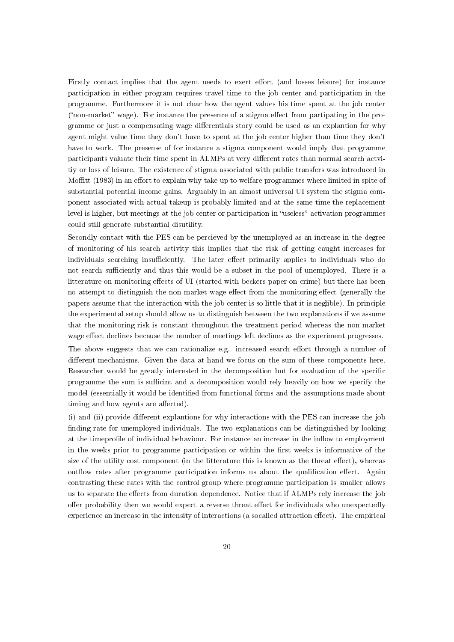Firstly contact implies that the agent needs to exert effort (and losses leisure) for instance participation in either program requires travel time to the job center and participation in the programme. Furthermore it is not clear how the agent values his time spent at the job center ("non-market" wage). For instance the presence of a stigma effect from partipating in the programme or just a compensating wage differentials story could be used as an explantion for why agent might value time they don't have to spent at the job center higher than time they don't have to work. The presense of for instance a stigma component would imply that programme participants valuate their time spent in ALMPs at very different rates than normal search actvitiy or loss of leisure. The existence of stigma associated with public transfers was introduced in Moffitt (1983) in an effort to explain why take up to welfare programmes where limited in spite of substantial potential income gains. Arguably in an almost universal UI system the stigma component associated with actual takeup is probably limited and at the same time the replacement level is higher, but meetings at the job center or participation in "useless" activation programmes could still generate substantial disutility.

Secondly contact with the PES can be percieved by the unemployed as an increase in the degree of monitoring of his search activity this implies that the risk of getting caught increases for individuals searching insufficiently. The later effect primarily applies to individuals who do not search sufficiently and thus this would be a subset in the pool of unemployed. There is a litterature on monitoring effects of UI (started with beckers paper on crime) but there has been no attempt to distinguish the non-market wage effect from the monitoring effect (generally the papers assume that the interaction with the job center is so little that it is neglible). In principle the experimental setup should allow us to distinguish between the two explanations if we assume that the monitoring risk is constant throughout the treatment period whereas the non-market wage effect declines because the number of meetings left declines as the experiment progresses.

The above suggests that we can rationalize e.g. increased search effort through a number of different mechanisms. Given the data at hand we focus on the sum of these components here. Researcher would be greatly interested in the decomposition but for evaluation of the specific programme the sum is sufficint and a decomposition would rely heavily on how we specify the model (essentially it would be identified from functional forms and the assumptions made about timing and how agents are affected).

 $(i)$  and  $(ii)$  provide different explantions for why interactions with the PES can increase the job finding rate for unemployed individuals. The two explanations can be distinguished by looking at the timeprofile of individual behaviour. For instance an increase in the inflow to employment in the weeks prior to programme participation or within the first weeks is informative of the size of the utility cost component (in the litterature this is known as the threat effect), whereas outflow rates after programme participation informs us about the qualification effect. Again contrasting these rates with the control group where programme participation is smaller allows us to separate the effects from duration dependence. Notice that if ALMPs rely increase the job offer probability then we would expect a reverse threat effect for individuals who unexpectedly experience an increase in the intensity of interactions (a socalled attraction effect). The empirical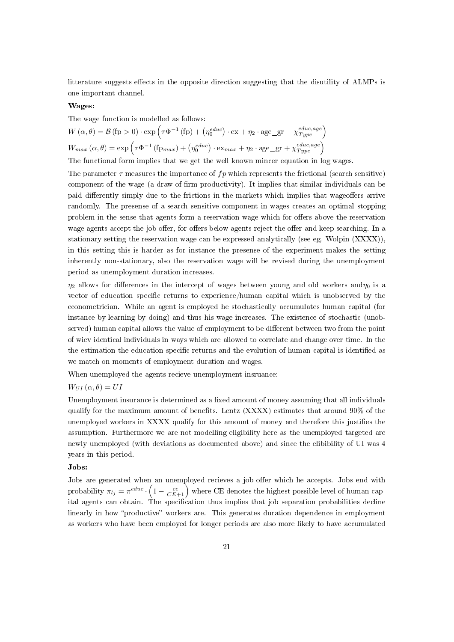litterature suggests effects in the opposite direction suggesting that the disutility of ALMPs is one important channel.

# Wages:

The wage function is modelled as follows:

$$
W(\alpha, \theta) = \mathcal{B}(\text{fp} > 0) \cdot \exp\left(\tau \Phi^{-1}(\text{fp}) + \left(\eta_0^{educ}\right) \cdot \text{ex} + \eta_2 \cdot \text{age\_gr} + \chi_{Type}^{educ, age}\right)
$$
  

$$
W_{max}(\alpha, \theta) = \exp\left(\tau \Phi^{-1}(\text{fp}_{max}) + \left(\eta_0^{educ}\right) \cdot \text{ex}_{max} + \eta_2 \cdot \text{age\_gr} + \chi_{Type}^{educ, age}\right)
$$

The functional form implies that we get the well known mincer equation in log wages.

The parameter  $\tau$  measures the importance of  $fp$  which represents the frictional (search sensitive) component of the wage (a draw of firm productivity). It implies that similar individuals can be paid differently simply due to the frictions in the markets which implies that wageoffers arrive randomly. The presense of a search sensitive component in wages creates an optimal stopping problem in the sense that agents form a reservation wage which for offers above the reservation wage agents accept the job offer, for offers below agents reject the offer and keep searching. In a stationary setting the reservation wage can be expressed analytically (see eg. Wolpin (XXXX)), in this setting this is harder as for instance the presense of the experiment makes the setting inherently non-stationary, also the reservation wage will be revised during the unemployment period as unemployment duration increases.

 $\eta_2$  allows for differences in the intercept of wages between young and old workers and $\eta_0$  is a vector of education specific returns to experience/human capital which is unobserved by the econometrician. While an agent is employed he stochastically accumulates human capital (for instance by learning by doing) and thus his wage increases. The existence of stochastic (unobserved) human capital allows the value of employment to be different between two from the point of wiev identical individuals in ways which are allowed to correlate and change over time. In the the estimation the education specific returns and the evolution of human capital is identified as we match on moments of employment duration and wages.

When unemployed the agents recieve unemployment insruance:

# $W_{UI}(\alpha, \theta) = UI$

Unemployment insurance is determined as a fixed amount of money assuming that all individuals qualify for the maximum amount of benefits. Lentz  $(XXXX)$  estimates that around 90% of the unemployed workers in XXXX qualify for this amount of money and therefore this justies the assumption. Furthermore we are not modelling eligibility here as the unemployed targeted are newly unemployed (with deviations as documented above) and since the elibibility of UI was 4 years in this period.

# Jobs:

Jobs are generated when an unemployed recieves a job offer which he accepts. Jobs end with probability  $\pi_{lj} = \pi^{educ} \cdot \left(1 - \frac{ce}{CE + 1}\right)$  where CE denotes the highest possible level of human capital agents can obtain. The specification thus implies that job separation probabilities decline linearly in how "productive" workers are. This generates duration dependence in employment as workers who have been employed for longer periods are also more likely to have accumulated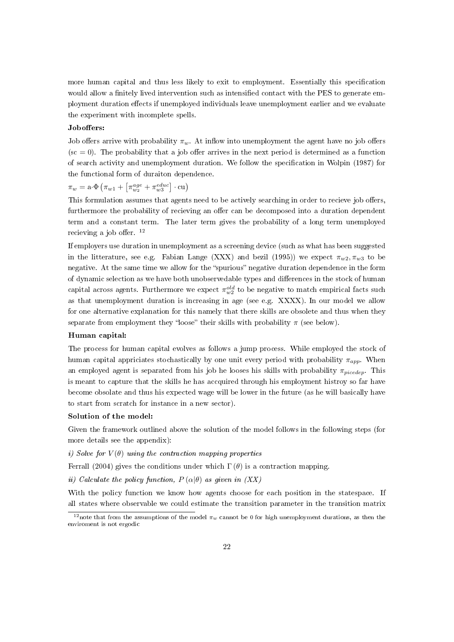more human capital and thus less likely to exit to employment. Essentially this specification would allow a finitely lived intervention such as intensified contact with the PES to generate employment duration effects if unemployed individuals leave unemployment earlier and we evaluate the experiment with incomplete spells.

#### Joboffers:

Job offers arrive with probability  $\pi_w$ . At inflow into unemployment the agent have no job offers  $(\text{sc} = 0)$ . The probability that a job offer arrives in the next period is determined as a function of search activity and unemployment duration. We follow the specification in Wolpin (1987) for the functional form of duraiton dependence.

 $\pi_w = \mathbf{a} \cdot \Phi \left( \pi_{w1} + \left[ \pi_{w_2}^{age} + \pi_{w3}^{educ} \right] \cdot \mathbf{cu} \right)$ 

This formulation assumes that agents need to be actively searching in order to recieve job offers, furthermore the probability of recieving an offer can be decomposed into a duration dependent term and a constant term. The later term gives the probability of a long term unemployed recieving a job offer.  $12$ 

If employers use duration in unemployment as a screening device (such as what has been suggested in the litterature, see e.g. Fabian Lange (XXX) and bezil (1995)) we expect  $\pi_{w2}, \pi_{w3}$  to be negative. At the same time we allow for the "spurious" negative duration dependence in the form of dynamic selection as we have both unobservedable types and differences in the stock of human capital across agents. Furthermore we expect  $\pi_{w2}^{old}$  to be negative to match empirical facts such as that unemployment duration is increasing in age (see e.g. XXXX). In our model we allow for one alternative explanation for this namely that there skills are obsolete and thus when they separate from employment they "loose" their skills with probability  $\pi$  (see below).

### Human capital:

The process for human capital evolves as follows a jump process. While employed the stock of human capital appriciates stochastically by one unit every period with probability  $\pi_{app}$ . When an employed agent is separated from his job he looses his skills with probability  $\pi_{picedep}$ . This is meant to capture that the skills he has accquired through his employment histroy so far have become obsolate and thus his expected wage will be lower in the future (as he will basically have to start from scratch for instance in a new sector).

#### Solution of the model:

Given the framework outlined above the solution of the model follows in the following steps (for more details see the appendix):

i) Solve for  $V(\theta)$  using the contraction mapping properties

Ferrall (2004) gives the conditions under which  $\Gamma(\theta)$  is a contraction mapping.

ii) Calculate the policy function,  $P(\alpha|\theta)$  as given in  $(XX)$ 

With the policy function we know how agents choose for each position in the statespace. If all states where observable we could estimate the transition parameter in the transition matrix

<sup>&</sup>lt;sup>12</sup>note that from the assumptions of the model  $\pi_w$  cannot be 0 for high unemployment durations, as then the enviroment is not ergodic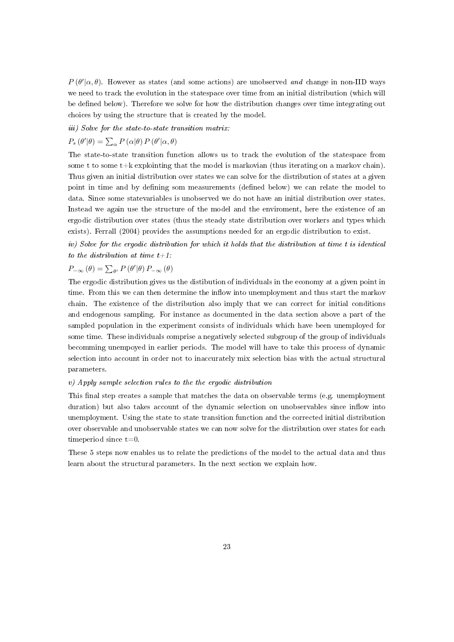$P(\theta'|\alpha,\theta)$ . However as states (and some actions) are unobserved and change in non-IID ways we need to track the evolution in the statespace over time from an initial distribution (which will be defined below). Therefore we solve for how the distribution changes over time integrating out choices by using the structure that is created by the model.

iii) Solve for the state-to-state transition matrix:

$$
P_s(\theta'|\theta) = \sum_{\alpha} P(\alpha|\theta) P(\theta'|\alpha, \theta)
$$

The state-to-state transition function allows us to track the evolution of the statespace from some t to some  $t+k$  explointing that the model is markovian (thus iterating on a markov chain). Thus given an initial distribution over states we can solve for the distribution of states at a given point in time and by defining som measurements (defined below) we can relate the model to data. Since some statevariables is unobserved we do not have an initial distribution over states. Instead we again use the structure of the model and the enviroment, here the existence of an ergodic distribution over states (thus the steady state distribution over workers and types which exists). Ferrall (2004) provides the assumptions needed for an ergodic distribution to exist.

iv) Solve for the ergodic distribution for which it holds that the distribution at time t is identical to the distribution at time  $t+1$ :

$$
P_{-\infty}(\theta) = \sum_{\theta'} P(\theta'|\theta) P_{-\infty}(\theta)
$$

The ergodic distribution gives us the distibution of individuals in the economy at a given point in time. From this we can then determine the inflow into unemployment and thus start the markov chain. The existence of the distribution also imply that we can correct for initial conditions and endogenous sampling. For instance as documented in the data section above a part of the sampled population in the experiment consists of individuals which have been unemployed for some time. These individuals comprise a negatively selected subgroup of the group of individuals becomming unempoyed in earlier periods. The model will have to take this process of dynamic selection into account in order not to inaccurately mix selection bias with the actual structural parameters.

#### v) Apply sample selection rules to the the ergodic distribution

This final step creates a sample that matches the data on observable terms (e.g. unemployment duration) but also takes account of the dynamic selection on unobservables since inflow into unemployment. Using the state to state transition function and the corrected initial distribution over observable and unobservable states we can now solve for the distribution over states for each timeperiod since t=0.

These 5 steps now enables us to relate the predictions of the model to the actual data and thus learn about the structural parameters. In the next section we explain how.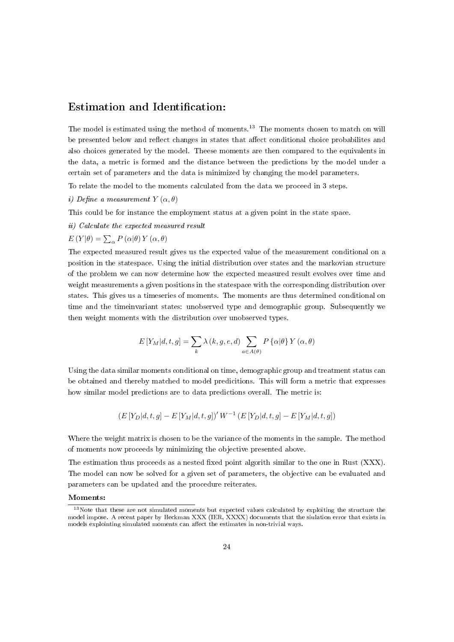# Estimation and Identification:

The model is estimated using the method of moments.<sup>13</sup> The moments chosen to match on will be presented below and reflect changes in states that affect conditional choice probabilites and also choices generated by the model. Theese moments are then compared to the equivalents in the data, a metric is formed and the distance between the predictions by the model under a certain set of parameters and the data is minimized by changing the model parameters.

To relate the model to the moments calculated from the data we proceed in 3 steps.

i) Define a measurement  $Y(\alpha, \theta)$ 

This could be for instance the employment status at a given point in the state space.

ii) Calculate the expected measured result

 $E(Y|\theta) = \sum_{\alpha} P(\alpha|\theta) Y(\alpha, \theta)$ 

The expected measured result gives us the expected value of the measurement conditional on a position in the statespace. Using the initial distribution over states and the markovian structure of the problem we can now determine how the expected measured result evolves over time and weight measurements a given positions in the statespace with the corresponding distribution over states. This gives us a timeseries of moments. The moments are thus determined conditional on time and the timeinvariant states: unobserved type and demographic group. Subsequently we then weight moments with the distribution over unobserved types.

$$
E\left[Y_M|d,t,g\right] = \sum_{k} \lambda(k,g,e,d) \sum_{a \in A(\theta)} P\left\{\alpha|\theta\right\} Y\left(\alpha,\theta\right)
$$

Using the data similar moments conditional on time, demographic group and treatment status can be obtained and thereby matched to model predicitions. This will form a metric that expresses how similar model predictions are to data predictions overall. The metric is:

$$
\left(E\left[Y_D|d,t,g\right] - E\left[Y_M|d,t,g\right]\right)'W^{-1}\left(E\left[Y_D|d,t,g\right] - E\left[Y_M|d,t,g\right]\right)
$$

Where the weight matrix is chosen to be the variance of the moments in the sample. The method of moments now proceeds by minimizing the objective presented above.

The estimation thus proceeds as a nested fixed point algorith similar to the one in Rust (XXX). The model can now be solved for a given set of parameters, the objective can be evaluated and parameters can be updated and the procedure reiterates.

#### Moments:

<sup>&</sup>lt;sup>13</sup>Note that these are not simulated moments but expected values calculated by exploiting the structure the model impose. A recent paper by Heckman XXX (IER, XXXX) documents that the siulation error that exists in models explointing simulated moments can affect the estimates in non-trivial ways.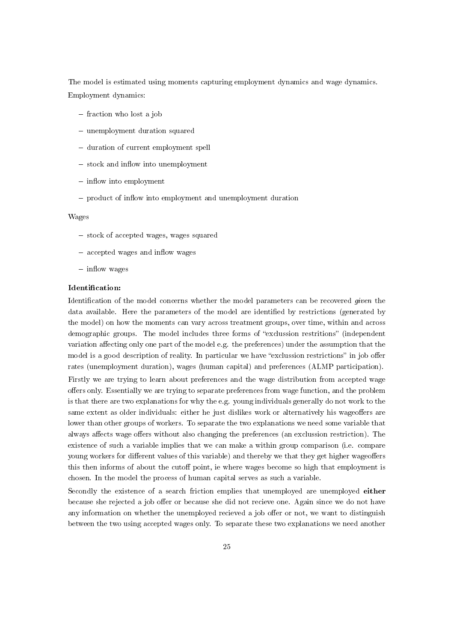The model is estimated using moments capturing employment dynamics and wage dynamics. Employment dynamics:

- $-$  fraction who lost a job
- unemployment duration squared
- duration of current employment spell
- $-$  stock and inflow into unemployment
- $\overline{\phantom{a}}$  inflow into employment
- product of inflow into employment and unemployment duration

#### Wages

- stock of accepted wages, wages squared
- $-$  accepted wages and inflow wages
- $-$  inflow wages

### Identification:

Identification of the model concerns whether the model parameters can be recovered given the data available. Here the parameters of the model are identified by restrictions (generated by the model) on how the moments can vary across treatment groups, over time, within and across demographic groups. The model includes three forms of "exclussion restritions" (independent variation affecting only one part of the model e.g. the preferences) under the assumption that the model is a good description of reality. In particular we have "exclussion restrictions" in job offer rates (unemployment duration), wages (human capital) and preferences (ALMP participation).

Firstly we are trying to learn about preferences and the wage distribution from accepted wage offers only. Essentially we are trying to separate preferences from wage function, and the problem is that there are two explanations for why the e.g. young individuals generally do not work to the same extent as older individuals: either he just dislikes work or alternatively his wageoffers are lower than other groups of workers. To separate the two explanations we need some variable that always affects wage offers without also changing the preferences (an exclussion restriction). The existence of such a variable implies that we can make a within group comparison (i.e. compare young workers for different values of this variable) and thereby we that they get higher wageoffers this then informs of about the cutoff point, ie where wages become so high that employment is chosen. In the model the process of human capital serves as such a variable.

Secondly the existence of a search friction emplies that unemployed are unemployed either because she rejected a job offer or because she did not recieve one. Again since we do not have any information on whether the unemployed recieved a job offer or not, we want to distinguish between the two using accepted wages only. To separate these two explanations we need another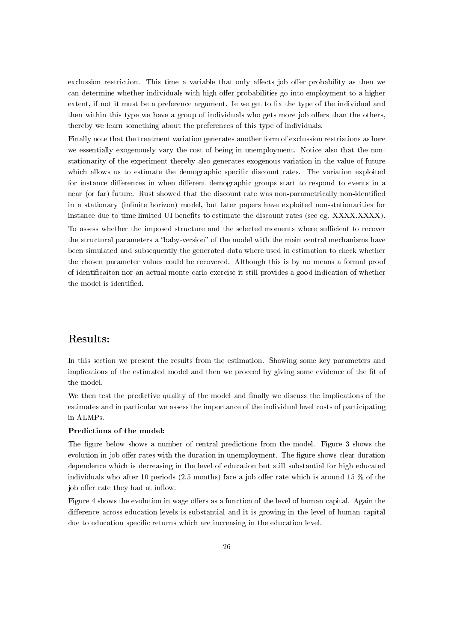exclussion restriction. This time a variable that only affects job offer probability as then we can determine whether individuals with high offer probabilities go into employment to a higher extent, if not it must be a preference argument. Ie we get to fix the type of the individual and then within this type we have a group of individuals who gets more job offers than the others, thereby we learn something about the preferences of this type of individuals.

Finally note that the treatment variation generates another form of exclussion restristions as here we essentially exogenously vary the cost of being in unemployment. Notice also that the nonstationarity of the experiment thereby also generates exogenous variation in the value of future which allows us to estimate the demographic specific discount rates. The variation exploited for instance differences in when different demographic groups start to respond to events in a near (or far) future. Rust showed that the discount rate was non-parametrically non-identified in a stationary (infinite horizon) model, but later papers have exploited non-stationarities for instance due to time limited UI benefits to estimate the discount rates (see eg. XXXX,XXXX).

To assess whether the imposed structure and the selected moments where sufficient to recover the structural parameters a "baby-version" of the model with the main central mechanisms have been simulated and subsequently the generated data where used in estimation to check whether the chosen parameter values could be recovered. Although this is by no means a formal proof of identificaiton nor an actual monte carlo exercise it still provides a good indication of whether the model is identified.

# Results:

In this section we present the results from the estimation. Showing some key parameters and implications of the estimated model and then we proceed by giving some evidence of the fit of the model.

We then test the predictive quality of the model and finally we discuss the implications of the estimates and in particular we assess the importance of the individual level costs of participating in ALMPs.

# Predictions of the model:

The figure below shows a number of central predictions from the model. Figure 3 shows the evolution in job offer rates with the duration in unemployment. The figure shows clear duration dependence which is decreasing in the level of education but still substantial for high educated individuals who after 10 periods (2.5 months) face a job offer rate which is around 15  $\%$  of the job offer rate they had at inflow.

Figure 4 shows the evolution in wage offers as a function of the level of human capital. Again the difference across education levels is substantial and it is growing in the level of human capital due to education specific returns which are increasing in the education level.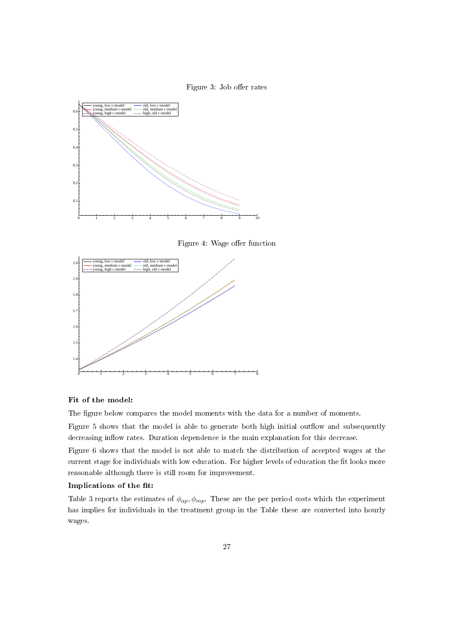



Figure 4: Wage offer function



# Fit of the model:

The figure below compares the model moments with the data for a number of moments.

Figure 5 shows that the model is able to generate both high initial outflow and subsequently decreasing inflow rates. Duration dependence is the main explanation for this decrease.

Figure 6 shows that the model is not able to match the distribution of accepted wages at the current stage for individuals with low education. For higher levels of education the fit looks more reasonable although there is still room for improvement.

# Implications of the fit:

Table 3 reports the estimates of  $\phi_{ap}, \phi_{mp}$ . These are the per period costs which the experiment has implies for individuals in the treatment group in the Table these are converted into hourly wages.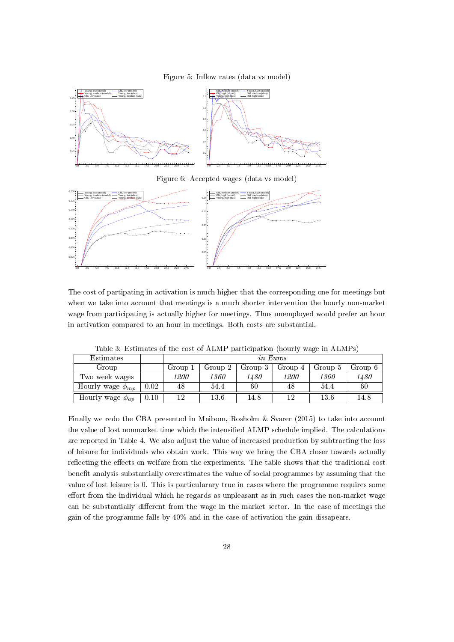



Figure 6: Accepted wages (data vs model)



The cost of partipating in activation is much higher that the corresponding one for meetings but when we take into account that meetings is a much shorter intervention the hourly non-market wage from participating is actually higher for meetings. Thus unemployed would prefer an hour in activation compared to an hour in meetings. Both costs are substantial.

| Estimates               |      | <i>in Euros</i> |         |         |         |         |                |
|-------------------------|------|-----------------|---------|---------|---------|---------|----------------|
| Group                   |      | Group 1         | Group 2 | Group 3 | Group 4 | Group 5 | Group $6 \mid$ |
| Two week wages          |      | 1200            | 1360    | 1480    | 1200    | 1360    | 1480           |
| Hourly wage $\phi_{mp}$ | 0.02 | 48              | 54.4    | 60      | 48      | 54.4    | 60             |
| Hourly wage $\phi_{ap}$ | 0.10 | 12              | 13.6    | 14.8    |         | 13.6    | 14.8           |

Table 3: Estimates of the cost of ALMP participation (hourly wage in ALMPs)

Finally we redo the CBA presented in Maibom, Rosholm & Svarer (2015) to take into account the value of lost nonmarket time which the intensified ALMP schedule implied. The calculations are reported in Table 4. We also adjust the value of increased production by subtracting the loss of leisure for individuals who obtain work. This way we bring the CBA closer towards actually reflecting the effects on welfare from the experiments. The table shows that the traditional cost benefit analysis substantially overestimates the value of social programmes by assuming that the value of lost leisure is 0. This is particularary true in cases where the programme requires some effort from the individual which he regards as unpleasant as in such cases the non-market wage can be substantially different from the wage in the market sector. In the case of meetings the gain of the programme falls by 40% and in the case of activation the gain dissapears.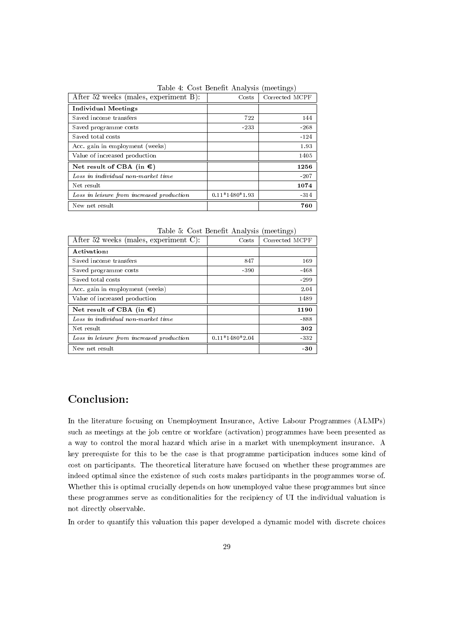|  |  |  | Table 4: Cost Benefit Analysis (meetings) |  |  |
|--|--|--|-------------------------------------------|--|--|
|--|--|--|-------------------------------------------|--|--|

| After 52 weeks (males, experiment B):                  | Costs            | Corrected MCPF |
|--------------------------------------------------------|------------------|----------------|
| <b>Individual Meetings</b>                             |                  |                |
| Saved income transfers                                 | 722              | 144            |
| Saved programme costs                                  | $-233$           | $-268$         |
| Saved total costs                                      |                  | $-124$         |
| Acc. gain in employment (weeks)                        |                  | 1.93           |
| Value of increased production                          |                  | 1405           |
| Net result of CBA (in $\mathbf{\mathbf{\mathbb{C}}}$ ) |                  | 1256           |
| Loss in individual non-market time                     |                  | $-207$         |
| Net result                                             |                  | 1074           |
| Loss in leisure from increased production              | $0.11*1480*1.93$ | $-314$         |
| New net result                                         |                  | 760            |

Table 5: Cost Benefit Analysis (meetings)

| After 52 weeks (males, experiment C):                  | Cost s           | Corrected MCPF |
|--------------------------------------------------------|------------------|----------------|
| Activation:                                            |                  |                |
| Saved income transfers                                 | 847              | 169            |
| Saved programme costs                                  | $-390$           | $-468$         |
| Saved total costs                                      |                  | $-299$         |
| Acc. gain in employment (weeks)                        |                  | 2.04           |
| Value of increased production                          |                  | 1489           |
| Net result of CBA (in $\mathbf{\mathbf{\mathbb{C}}}$ ) |                  | 1190           |
| Loss in individual non-market time                     |                  | -888           |
| Net result                                             |                  | 302            |
| Loss in leisure from increased production              | $0.11*1480*2.04$ | $-332$         |
| New net result                                         |                  | -30            |

# Conclusion:

In the literature focusing on Unemployment Insurance, Active Labour Programmes (ALMPs) such as meetings at the job centre or workfare (activation) programmes have been presented as a way to control the moral hazard which arise in a market with unemployment insurance. A key prerequiste for this to be the case is that programme participation induces some kind of cost on participants. The theoretical literature have focused on whether these programmes are indeed optimal since the existence of such costs makes participants in the programmes worse of. Whether this is optimal crucially depends on how unemployed value these programmes but since these programmes serve as conditionalities for the recipiency of UI the individual valuation is not directly observable.

In order to quantify this valuation this paper developed a dynamic model with discrete choices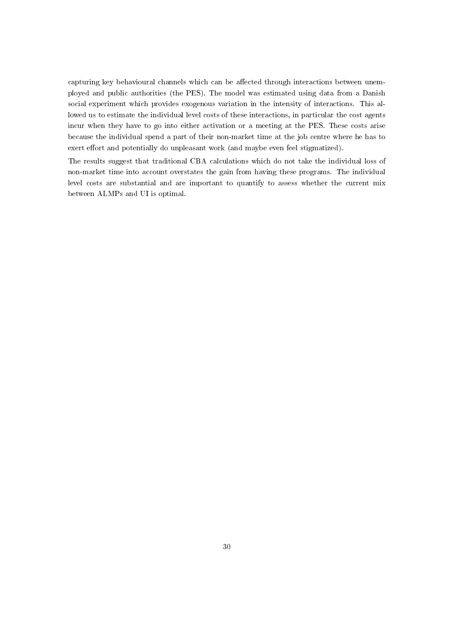capturing key behavioural channels which can be affected through interactions between unemployed and public authorities (the PES). The model was estimated using data from a Danish social experiment which provides exogenous variation in the intensity of interactions. This allowed us to estimate the individual level costs of these interactions, in particular the cost agents incur when they have to go into either activation or a meeting at the PES. These costs arise because the individual spend a part of their non-market time at the job centre where he has to exert effort and potentially do unpleasant work (and maybe even feel stigmatized).

The results suggest that traditional CBA calculations which do not take the individual loss of non-market time into account overstates the gain from having these programs. The individual level costs are substantial and are important to quantify to assess whether the current mix between ALMPs and UI is optimal.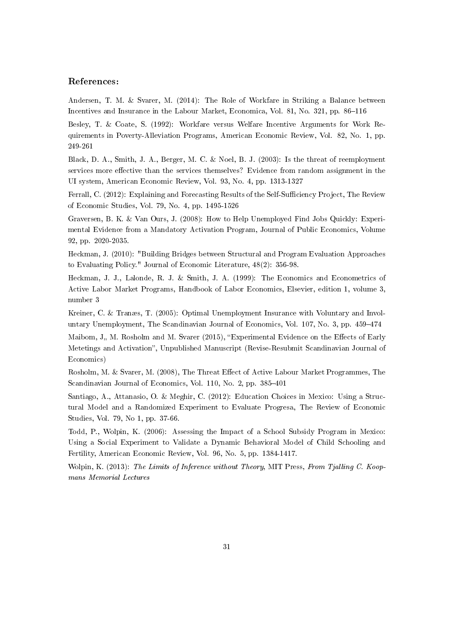# References:

Andersen, T. M. & Svarer, M. (2014): The Role of Workfare in Striking a Balance between Incentives and Insurance in the Labour Market, Economica, Vol. 81, No.  $321$ , pp.  $86-116$ 

Besley, T. & Coate, S. (1992): Workfare versus Welfare Incentive Arguments for Work Requirements in Poverty-Alleviation Programs, American Economic Review, Vol. 82, No. 1, pp. 249-261

Black, D. A., Smith, J. A., Berger, M. C. & Noel, B. J. (2003): Is the threat of reemployment services more effective than the services themselves? Evidence from random assignment in the UI system, American Economic Review, Vol. 93, No. 4, pp. 1313-1327

Ferrall, C. (2012): Explaining and Forecasting Results of the Self-Sufficiency Project, The Review of Economic Studies, Vol. 79, No. 4, pp. 1495-1526

Graversen, B. K. & Van Ours, J. (2008): How to Help Unemployed Find Jobs Quickly: Experimental Evidence from a Mandatory Activation Program, Journal of Public Economics, Volume 92, pp. 2020-2035.

Heckman, J. (2010): "Building Bridges between Structural and Program Evaluation Approaches to Evaluating Policy." Journal of Economic Literature, 48(2): 356-98.

Heckman, J. J., Lalonde, R. J. & Smith, J. A. (1999): The Economics and Econometrics of Active Labor Market Programs, Handbook of Labor Economics, Elsevier, edition 1, volume 3, number 3

Kreiner, C. & Tranæs, T. (2005): Optimal Unemployment Insurance with Voluntary and Involuntary Unemployment, The Scandinavian Journal of Economics, Vol. 107, No. 3, pp. 459–474

Maibom, J., M. Rosholm and M. Svarer (2015), "Experimental Evidence on the Effects of Early Metetings and Activation", Unpublished Manuscript (Revise-Resubmit Scandinavian Journal of Economics)

Rosholm, M. & Svarer, M. (2008), The Threat Effect of Active Labour Market Programmes, The Scandinavian Journal of Economics, Vol. 110, No. 2, pp. 385-401

Santiago, A., Attanasio, O. & Meghir, C. (2012): Education Choices in Mexico: Using a Structural Model and a Randomized Experiment to Evaluate Progresa, The Review of Economic Studies, Vol. 79, No 1, pp. 37-66.

Todd, P., Wolpin, K. (2006): Assessing the Impact of a School Subsidy Program in Mexico: Using a Social Experiment to Validate a Dynamic Behavioral Model of Child Schooling and Fertility, American Economic Review, Vol. 96, No. 5, pp. 1384-1417.

Wolpin, K. (2013): The Limits of Inference without Theory, MIT Press, From Tjalling C. Koopmans Memorial Lectures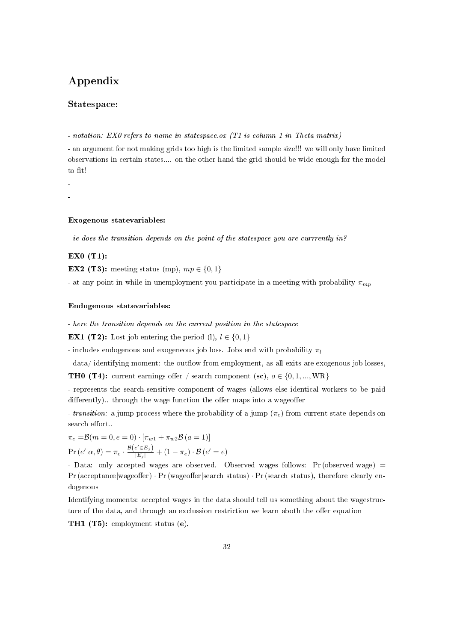# Appendix

# Statespace:

- notation: EX0 refers to name in statespace.ox (T1 is column 1 in Theta matrix)

- an argument for not making grids too high is the limited sample size!!! we will only have limited observations in certain states.... on the other hand the grid should be wide enough for the model to fit!

-

-

# Exogenous statevariables:

- ie does the transition depends on the point of the statespace you are currrently in?

# EX0 (T1):

**EX2** (T3): meeting status (mp),  $mp \in \{0, 1\}$ 

- at any point in while in unemployment you participate in a meeting with probability  $\pi_{mn}$ 

# Endogenous statevariables:

- here the transition depends on the current position in the statespace

**EX1** (T2): Lost job entering the period (l),  $l \in \{0, 1\}$ 

- includes endogenous and exogeneous job loss. Jobs end with probability  $\pi_l$ 

- data/ identifying moment: the outflow from employment, as all exits are exogenous job losses,

**TH0 (T4):** current earnings offer / search component (sc),  $o \in \{0, 1, ..., WR\}$ 

- represents the search-sensitive component of wages (allows else identical workers to be paid  $differently)$ .. through the wage function the offer maps into a wageoffer

- transition: a jump process where the probability of a jump  $(\pi_e)$  from current state depends on search effort...

 $\pi_e = \mathcal{B}(m = 0, e = 0) \cdot [\pi_{w1} + \pi_{w2} \mathcal{B} (a = 1)]$  $\Pr\left(e'|\alpha, \theta\right) = \pi_e \cdot \frac{\mathcal{B}\left(e' \in E_j\right)}{|E_j|} + \left(1 - \pi_e\right) \cdot \mathcal{B}\left(e' = e\right)$ 

- Data: only accepted wages are observed. Observed wages follows:  $Pr(observed wage)$  =  $Pr$  (acceptance|wageoffer)  $\cdot Pr$  (wageoffer|search status)  $\cdot Pr$  (search status), therefore clearly endogenous

Identifying moments: accepted wages in the data should tell us something about the wagestructure of the data, and through an exclussion restriction we learn aboth the offer equation

TH1 (T5): employment status (e),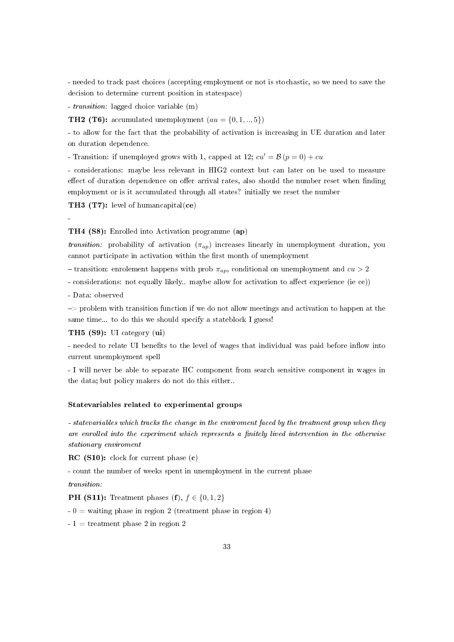- needed to track past choices (accepting employment or not is stochastic, so we need to save the decision to determine current position in statespace)

- transition: lagged choice variable (m)

**TH2 (T6):** accumulated unemployment  $(au = \{0, 1, \ldots, 5\})$ 

- to allow for the fact that the probability of activation is increasing in UE duration and later on duration dependence.

- Transition: if unemployed grows with 1, capped at 12;  $cu' = \mathcal{B}(p = 0) + cu$ 

- considerations: maybe less relevant in HIG2 context but can later on be used to measure effect of duration dependence on offer arrival rates, also should the number reset when finding employment or is it accumulated through all states? initially we reset the number

TH3 (T7): level of humancapital(ce)

-

TH4 (S8): Enrolled into Activation programme (ap)

*transition:* probability of activation  $(\pi_{ap})$  increases linearly in unemployment duration, you cannot participate in activation within the first month of unemployment

- transition: enrolement happens with prob  $\pi_{ap}$ , conditional on unemployment and  $cu > 2$ 

- considerations: not equally likely.. maybe allow for activation to affect experience (ie ce))

- Data: observed

 $\Rightarrow$  problem with transition function if we do not allow meetings and activation to happen at the same time... to do this we should specify a stateblock I guess!

# TH5 (S9): UI category (ui)

- needed to relate UI benefits to the level of wages that individual was paid before inflow into current unemployment spell

- I will never be able to separate HC component from search sensitive component in wages in the data; but policy makers do not do this either..

# Statevariables related to experimental groups

- statevariables which tracks the change in the enviroment faced by the treatment group when they are enrolled into the experiment which represents a finitely lived intervention in the otherwise stationary enviroment

RC (S10): clock for current phase (c)

- count the number of weeks spent in unemployment in the current phase

transition:

**PH (S11):** Treatment phases  $(f)$ ,  $f \in \{0, 1, 2\}$ 

 $- 0 =$  waiting phase in region 2 (treatment phase in region 4)

 $-1 =$  treatment phase 2 in region 2